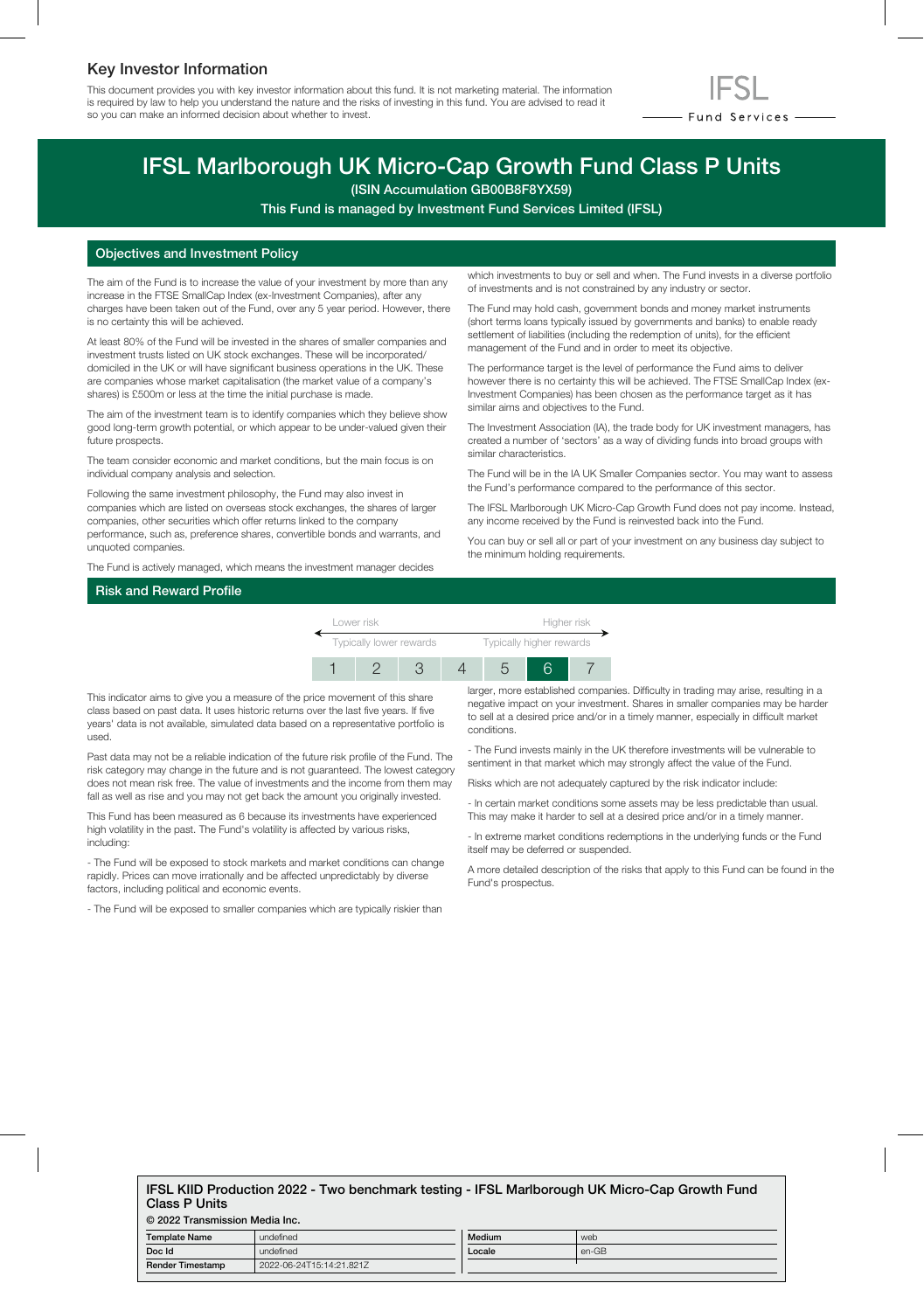## Key Investor Information

This document provides you with key investor information about this fund. It is not marketing material. The information is required by law to help you understand the nature and the risks of investing in this fund. You are advised to read it so you can make an informed decision about whether to invest.



# IFSL Marlborough UK Micro-Cap Growth Fund Class P Units

(ISIN Accumulation GB00B8F8YX59)

This Fund is managed by Investment Fund Services Limited (IFSL)

#### Objectives and Investment Policy

The aim of the Fund is to increase the value of your investment by more than any increase in the FTSE SmallCap Index (ex-Investment Companies), after any charges have been taken out of the Fund, over any 5 year period. However, there is no certainty this will be achieved.

At least 80% of the Fund will be invested in the shares of smaller companies and investment trusts listed on UK stock exchanges. These will be incorporated/ domiciled in the UK or will have significant business operations in the UK. These are companies whose market capitalisation (the market value of a company's shares) is £500m or less at the time the initial purchase is made.

The aim of the investment team is to identify companies which they believe show good long-term growth potential, or which appear to be under-valued given their future prospects.

The team consider economic and market conditions, but the main focus is on individual company analysis and selection.

Following the same investment philosophy, the Fund may also invest in companies which are listed on overseas stock exchanges, the shares of larger companies, other securities which offer returns linked to the company performance, such as, preference shares, convertible bonds and warrants, and unquoted companies.

The Fund is actively managed, which means the investment manager decides

which investments to buy or sell and when. The Fund invests in a diverse portfolio of investments and is not constrained by any industry or sector.

The Fund may hold cash, government bonds and money market instruments (short terms loans typically issued by governments and banks) to enable ready settlement of liabilities (including the redemption of units), for the efficient management of the Fund and in order to meet its objective.

The performance target is the level of performance the Fund aims to deliver however there is no certainty this will be achieved. The FTSE SmallCap Index (ex-Investment Companies) has been chosen as the performance target as it has similar aims and objectives to the Fund.

The Investment Association (IA), the trade body for UK investment managers, has created a number of 'sectors' as a way of dividing funds into broad groups with similar characteristics.

The Fund will be in the IA UK Smaller Companies sector. You may want to assess the Fund's performance compared to the performance of this sector.

The IFSL Marlborough UK Micro-Cap Growth Fund does not pay income. Instead, any income received by the Fund is reinvested back into the Fund.

You can buy or sell all or part of your investment on any business day subject to the minimum holding requirements.

## Risk and Reward Profile



This indicator aims to give you a measure of the price movement of this share class based on past data. It uses historic returns over the last five years. If five years' data is not available, simulated data based on a representative portfolio is used.

Past data may not be a reliable indication of the future risk profile of the Fund. The risk category may change in the future and is not guaranteed. The lowest category does not mean risk free. The value of investments and the income from them may fall as well as rise and you may not get back the amount you originally invested.

This Fund has been measured as 6 because its investments have experienced high volatility in the past. The Fund's volatility is affected by various risks, including:

- The Fund will be exposed to stock markets and market conditions can change rapidly. Prices can move irrationally and be affected unpredictably by diverse factors, including political and economic events.

- The Fund will be exposed to smaller companies which are typically riskier than

larger, more established companies. Difficulty in trading may arise, resulting in a negative impact on your investment. Shares in smaller companies may be harder to sell at a desired price and/or in a timely manner, especially in difficult market conditions.

- The Fund invests mainly in the UK therefore investments will be vulnerable to sentiment in that market which may strongly affect the value of the Fund.

Risks which are not adequately captured by the risk indicator include:

- In certain market conditions some assets may be less predictable than usual. This may make it harder to sell at a desired price and/or in a timely manner.

- In extreme market conditions redemptions in the underlying funds or the Fund itself may be deferred or suspended.

A more detailed description of the risks that apply to this Fund can be found in the Fund's prospectus.